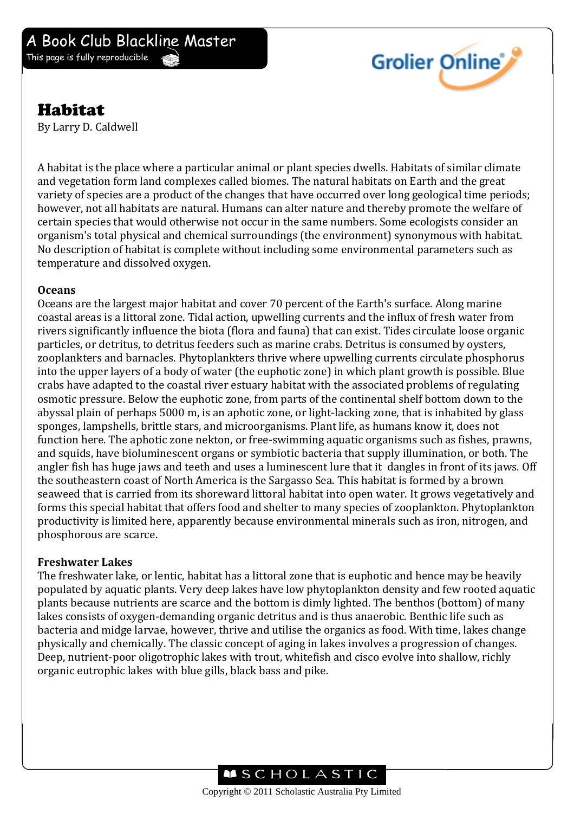

# Habitat

By Larry D. Caldwell

A habitat is the place where a particular animal or plant species dwells. Habitats of similar climate and vegetation form land complexes called biomes. The natural habitats on Earth and the great variety of species are a product of the changes that have occurred over long geological time periods; however, not all habitats are natural. Humans can alter nature and thereby promote the welfare of certain species that would otherwise not occur in the same numbers. Some ecologists consider an organism's total physical and chemical surroundings (the environment) synonymous with habitat. No description of habitat is complete without including some environmental parameters such as temperature and dissolved oxygen.

#### **Oceans**

Oceans are the largest major habitat and cover 70 percent of the Earth's surface. Along marine coastal areas is a littoral zone. Tidal action, upwelling currents and the influx of fresh water from rivers significantly influence the biota (flora and fauna) that can exist. Tides circulate loose organic particles, or detritus, to detritus feeders such as marine crabs. Detritus is consumed by oysters, zooplankters and barnacles. Phytoplankters thrive where upwelling currents circulate phosphorus into the upper layers of a body of water (the euphotic zone) in which plant growth is possible. Blue crabs have adapted to the coastal river estuary habitat with the associated problems of regulating osmotic pressure. Below the euphotic zone, from parts of the continental shelf bottom down to the abyssal plain of perhaps 5000 m, is an aphotic zone, or light-lacking zone, that is inhabited by glass sponges, lampshells, brittle stars, and microorganisms. Plant life, as humans know it, does not function here. The aphotic zone nekton, or free-swimming aquatic organisms such as fishes, prawns, and squids, have bioluminescent organs or symbiotic bacteria that supply illumination, or both. The angler fish has huge jaws and teeth and uses a luminescent lure that it dangles in front of its jaws. Off the southeastern coast of North America is the Sargasso Sea. This habitat is formed by a brown seaweed that is carried from its shoreward littoral habitat into open water. It grows vegetatively and forms this special habitat that offers food and shelter to many species of zooplankton. Phytoplankton productivity is limited here, apparently because environmental minerals such as iron, nitrogen, and phosphorous are scarce.

### **Freshwater Lakes**

The freshwater lake, or lentic, habitat has a littoral zone that is euphotic and hence may be heavily populated by aquatic plants. Very deep lakes have low phytoplankton density and few rooted aquatic plants because nutrients are scarce and the bottom is dimly lighted. The benthos (bottom) of many lakes consists of oxygen-demanding organic detritus and is thus anaerobic. Benthic life such as bacteria and midge larvae, however, thrive and utilise the organics as food. With time, lakes change physically and chemically. The classic concept of aging in lakes involves a progression of changes. Deep, nutrient-poor oligotrophic lakes with trout, whitefish and cisco evolve into shallow, richly organic eutrophic lakes with blue gills, black bass and pike.